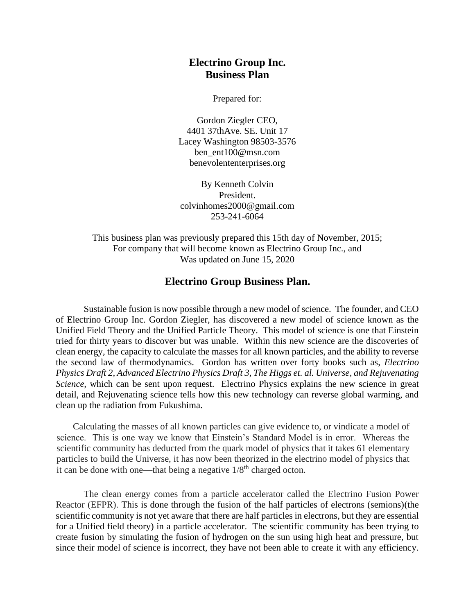## **Electrino Group Inc. Business Plan**

Prepared for:

Gordon Ziegler CEO, 4401 37thAve. SE. Unit 17 Lacey Washington 98503-3576 ben\_ent100@msn.com benevolententerprises.org

By Kenneth Colvin President. colvinhomes2000@gmail.com [253-241-6064](tel:(253)%20241-6064)

This business plan was previously prepared this 15th day of November, 2015; For company that will become known as Electrino Group Inc., and Was updated on June 15, 2020

## **Electrino Group Business Plan.**

Sustainable fusion is now possible through a new model of science. The founder, and CEO of Electrino Group Inc. Gordon Ziegler, has discovered a new model of science known as the Unified Field Theory and the Unified Particle Theory. This model of science is one that Einstein tried for thirty years to discover but was unable. Within this new science are the discoveries of clean energy, the capacity to calculate the masses for all known particles, and the ability to reverse the second law of thermodynamics. Gordon has written over forty books such as, *Electrino Physics Draft 2, Advanced Electrino Physics Draft 3, The Higgs et. al. Universe, and Rejuvenating Science*, which can be sent upon request. Electrino Physics explains the new science in great detail, and Rejuvenating science tells how this new technology can reverse global warming, and clean up the radiation from Fukushima.

Calculating the masses of all known particles can give evidence to, or vindicate a model of science. This is one way we know that Einstein's Standard Model is in error. Whereas the scientific community has deducted from the quark model of physics that it takes 61 elementary particles to build the Universe, it has now been theorized in the electrino model of physics that it can be done with one—that being a negative  $1/8<sup>th</sup>$  charged octon.

The clean energy comes from a particle accelerator called the Electrino Fusion Power Reactor (EFPR). This is done through the fusion of the half particles of electrons (semions)(the scientific community is not yet aware that there are half particles in electrons, but they are essential for a Unified field theory) in a particle accelerator. The scientific community has been trying to create fusion by simulating the fusion of hydrogen on the sun using high heat and pressure, but since their model of science is incorrect, they have not been able to create it with any efficiency.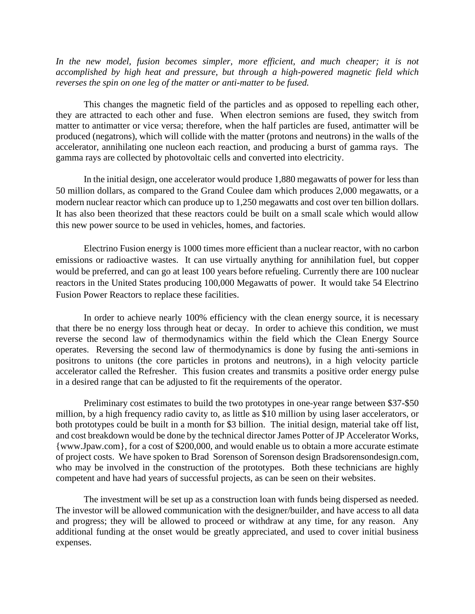*In the new model, fusion becomes simpler, more efficient, and much cheaper; it is not accomplished by high heat and pressure, but through a high-powered magnetic field which reverses the spin on one leg of the matter or anti-matter to be fused.*

This changes the magnetic field of the particles and as opposed to repelling each other, they are attracted to each other and fuse. When electron semions are fused, they switch from matter to antimatter or vice versa; therefore, when the half particles are fused, antimatter will be produced (negatrons), which will collide with the matter (protons and neutrons) in the walls of the accelerator, annihilating one nucleon each reaction, and producing a burst of gamma rays. The gamma rays are collected by photovoltaic cells and converted into electricity.

In the initial design, one accelerator would produce 1,880 megawatts of power for less than 50 million dollars, as compared to the Grand Coulee dam which produces 2,000 megawatts, or a modern nuclear reactor which can produce up to 1,250 megawatts and cost over ten billion dollars. It has also been theorized that these reactors could be built on a small scale which would allow this new power source to be used in vehicles, homes, and factories.

Electrino Fusion energy is 1000 times more efficient than a nuclear reactor, with no carbon emissions or radioactive wastes. It can use virtually anything for annihilation fuel, but copper would be preferred, and can go at least 100 years before refueling. Currently there are 100 nuclear reactors in the United States producing 100,000 Megawatts of power. It would take 54 Electrino Fusion Power Reactors to replace these facilities.

In order to achieve nearly 100% efficiency with the clean energy source, it is necessary that there be no energy loss through heat or decay. In order to achieve this condition, we must reverse the second law of thermodynamics within the field which the Clean Energy Source operates. Reversing the second law of thermodynamics is done by fusing the anti-semions in positrons to unitons (the core particles in protons and neutrons), in a high velocity particle accelerator called the Refresher. This fusion creates and transmits a positive order energy pulse in a desired range that can be adjusted to fit the requirements of the operator.

Preliminary cost estimates to build the two prototypes in one-year range between \$37-\$50 million, by a high frequency radio cavity to, as little as \$10 million by using laser accelerators, or both prototypes could be built in a month for \$3 billion. The initial design, material take off list, and cost breakdown would be done by the technical director James Potter of JP Accelerator Works, {www.Jpaw.com}, for a cost of \$200,000, and would enable us to obtain a more accurate estimate of project costs. We have spoken to Brad Sorenson of Sorenson design Bradsorensondesign.com, who may be involved in the construction of the prototypes. Both these technicians are highly competent and have had years of successful projects, as can be seen on their websites.

The investment will be set up as a construction loan with funds being dispersed as needed. The investor will be allowed communication with the designer/builder, and have access to all data and progress; they will be allowed to proceed or withdraw at any time, for any reason. Any additional funding at the onset would be greatly appreciated, and used to cover initial business expenses.